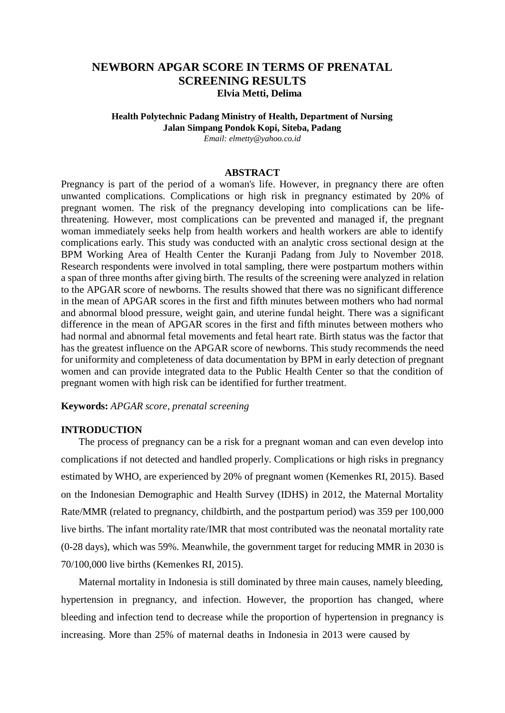# **NEWBORN APGAR SCORE IN TERMS OF PRENATAL SCREENING RESULTS Elvia Metti, Delima**

# **Health Polytechnic Padang Ministry of Health, Department of Nursing Jalan Simpang Pondok Kopi, Siteba, Padang**

*Email: [elmetty@yahoo.co.id](mailto:elmetty@yahoo.co.id)*

## **ABSTRACT**

Pregnancy is part of the period of a woman's life. However, in pregnancy there are often unwanted complications. Complications or high risk in pregnancy estimated by 20% of pregnant women. The risk of the pregnancy developing into complications can be lifethreatening. However, most complications can be prevented and managed if, the pregnant woman immediately seeks help from health workers and health workers are able to identify complications early. This study was conducted with an analytic cross sectional design at the BPM Working Area of Health Center the Kuranji Padang from July to November 2018. Research respondents were involved in total sampling, there were postpartum mothers within a span of three months after giving birth. The results of the screening were analyzed in relation to the APGAR score of newborns. The results showed that there was no significant difference in the mean of APGAR scores in the first and fifth minutes between mothers who had normal and abnormal blood pressure, weight gain, and uterine fundal height. There was a significant difference in the mean of APGAR scores in the first and fifth minutes between mothers who had normal and abnormal fetal movements and fetal heart rate. Birth status was the factor that has the greatest influence on the APGAR score of newborns. This study recommends the need for uniformity and completeness of data documentation by BPM in early detection of pregnant women and can provide integrated data to the Public Health Center so that the condition of pregnant women with high risk can be identified for further treatment.

### **Keywords:** *APGAR score, prenatal screening*

#### **INTRODUCTION**

The process of pregnancy can be a risk for a pregnant woman and can even develop into complications if not detected and handled properly. Complications or high risks in pregnancy estimated by WHO, are experienced by 20% of pregnant women (Kemenkes RI, 2015). Based on the Indonesian Demographic and Health Survey (IDHS) in 2012, the Maternal Mortality Rate/MMR (related to pregnancy, childbirth, and the postpartum period) was 359 per 100,000 live births. The infant mortality rate/IMR that most contributed was the neonatal mortality rate (0-28 days), which was 59%. Meanwhile, the government target for reducing MMR in 2030 is 70/100,000 live births (Kemenkes RI, 2015).

Maternal mortality in Indonesia is still dominated by three main causes, namely bleeding, hypertension in pregnancy, and infection. However, the proportion has changed, where bleeding and infection tend to decrease while the proportion of hypertension in pregnancy is increasing. More than 25% of maternal deaths in Indonesia in 2013 were caused by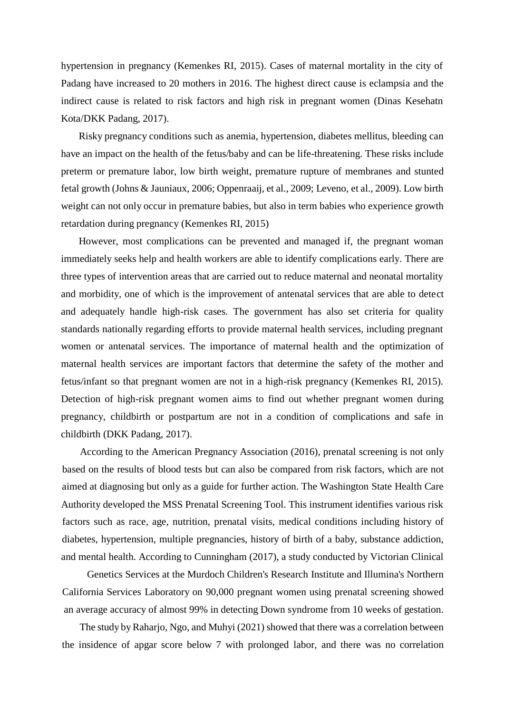hypertension in pregnancy (Kemenkes RI, 2015). Cases of maternal mortality in the city of Padang have increased to 20 mothers in 2016. The highest direct cause is eclampsia and the indirect cause is related to risk factors and high risk in pregnant women (Dinas Kesehatn Kota/DKK Padang, 2017).

Risky pregnancy conditions such as anemia, hypertension, diabetes mellitus, bleeding can have an impact on the health of the fetus/baby and can be life-threatening. These risks include preterm or premature labor, low birth weight, premature rupture of membranes and stunted fetal growth (Johns & Jauniaux, 2006; Oppenraaij, et al., 2009; Leveno, et al., 2009). Low birth weight can not only occur in premature babies, but also in term babies who experience growth retardation during pregnancy (Kemenkes RI, 2015)

However, most complications can be prevented and managed if, the pregnant woman immediately seeks help and health workers are able to identify complications early. There are three types of intervention areas that are carried out to reduce maternal and neonatal mortality and morbidity, one of which is the improvement of antenatal services that are able to detect and adequately handle high-risk cases. The government has also set criteria for quality standards nationally regarding efforts to provide maternal health services, including pregnant women or antenatal services. The importance of maternal health and the optimization of maternal health services are important factors that determine the safety of the mother and fetus/infant so that pregnant women are not in a high-risk pregnancy (Kemenkes RI, 2015). Detection of high-risk pregnant women aims to find out whether pregnant women during pregnancy, childbirth or postpartum are not in a condition of complications and safe in childbirth (DKK Padang, 2017).

According to the American Pregnancy Association (2016), prenatal screening is not only based on the results of blood tests but can also be compared from risk factors, which are not aimed at diagnosing but only as a guide for further action. The Washington State Health Care Authority developed the MSS Prenatal Screening Tool. This instrument identifies various risk factors such as race, age, nutrition, prenatal visits, medical conditions including history of diabetes, hypertension, multiple pregnancies, history of birth of a baby, substance addiction, and mental health. According to Cunningham (2017), a study conducted by Victorian Clinical

Genetics Services at the Murdoch Children's Research Institute and Illumina's Northern California Services Laboratory on 90,000 pregnant women using prenatal screening showed an average accuracy of almost 99% in detecting Down syndrome from 10 weeks of gestation.

The study byRaharjo, Ngo, and Muhyi (2021) showed that there was a correlation between the insidence of apgar score below 7 with prolonged labor, and there was no correlation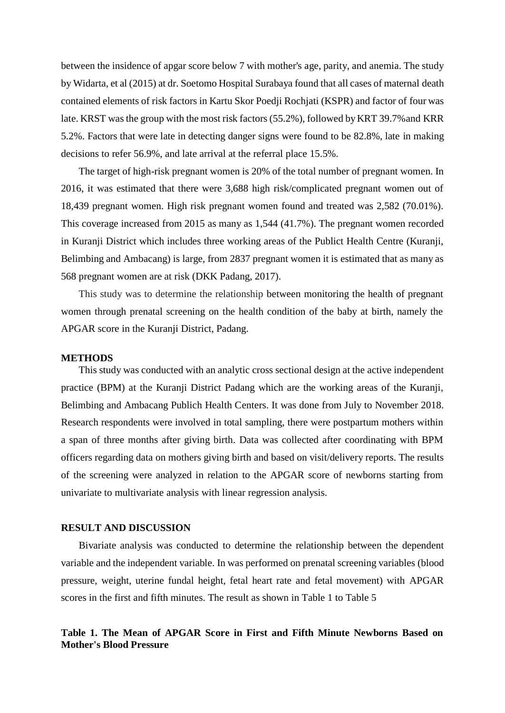between the insidence of apgar score below 7 with mother's age, parity, and anemia. The study by Widarta, et al (2015) at dr. Soetomo Hospital Surabaya found that all cases of maternal death contained elements of risk factors in Kartu Skor Poedji Rochjati (KSPR) and factor of four was late. KRST was the group with the most risk factors (55.2%), followed by KRT 39.7%and KRR 5.2%. Factors that were late in detecting danger signs were found to be 82.8%, late in making decisions to refer 56.9%, and late arrival at the referral place 15.5%.

The target of high-risk pregnant women is 20% of the total number of pregnant women. In 2016, it was estimated that there were 3,688 high risk/complicated pregnant women out of 18,439 pregnant women. High risk pregnant women found and treated was 2,582 (70.01%). This coverage increased from 2015 as many as 1,544 (41.7%). The pregnant women recorded in Kuranji District which includes three working areas of the Publict Health Centre (Kuranji, Belimbing and Ambacang) is large, from 2837 pregnant women it is estimated that as many as 568 pregnant women are at risk (DKK Padang, 2017).

This study was to determine the relationship between monitoring the health of pregnant women through prenatal screening on the health condition of the baby at birth, namely the APGAR score in the Kuranji District, Padang.

#### **METHODS**

This study was conducted with an analytic cross sectional design at the active independent practice (BPM) at the Kuranji District Padang which are the working areas of the Kuranji, Belimbing and Ambacang Publich Health Centers. It was done from July to November 2018. Research respondents were involved in total sampling, there were postpartum mothers within a span of three months after giving birth. Data was collected after coordinating with BPM officers regarding data on mothers giving birth and based on visit/delivery reports. The results of the screening were analyzed in relation to the APGAR score of newborns starting from univariate to multivariate analysis with linear regression analysis.

#### **RESULT AND DISCUSSION**

Bivariate analysis was conducted to determine the relationship between the dependent variable and the independent variable. In was performed on prenatal screening variables (blood pressure, weight, uterine fundal height, fetal heart rate and fetal movement) with APGAR scores in the first and fifth minutes. The result as shown in Table 1 to Table 5

## **Table 1. The Mean of APGAR Score in First and Fifth Minute Newborns Based on Mother's Blood Pressure**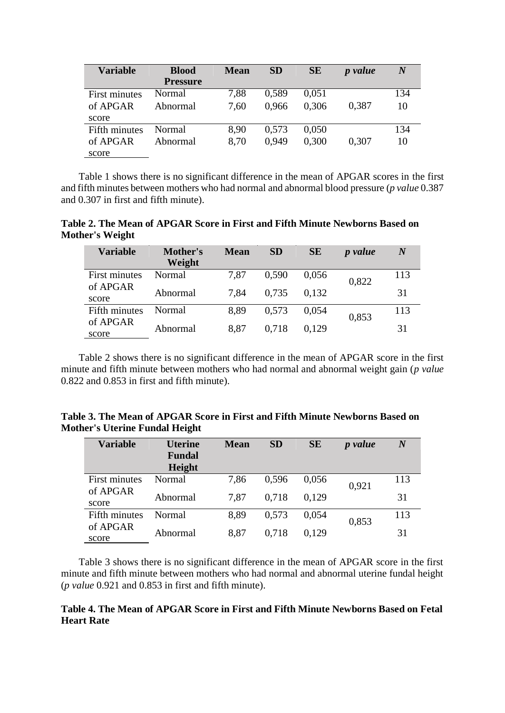| <b>Variable</b> | <b>Blood</b>    | <b>Mean</b> | <b>SD</b> | <b>SE</b> | <i>p</i> value | $\boldsymbol{N}$ |
|-----------------|-----------------|-------------|-----------|-----------|----------------|------------------|
|                 | <b>Pressure</b> |             |           |           |                |                  |
| First minutes   | Normal          | 7.88        | 0.589     | 0.051     |                | 134              |
| of APGAR        | Abnormal        | 7,60        | 0.966     | 0.306     | 0.387          | 10               |
| score           |                 |             |           |           |                |                  |
| Fifth minutes   | Normal          | 8.90        | 0,573     | 0,050     |                | 134              |
| of APGAR        | Abnormal        | 8.70        | 0.949     | 0,300     | 0,307          | 10               |
| score           |                 |             |           |           |                |                  |

Table 1 shows there is no significant difference in the mean of APGAR scores in the first and fifth minutes between mothers who had normal and abnormal blood pressure (*p value* 0.387 and 0.307 in first and fifth minute).

**Table 2. The Mean of APGAR Score in First and Fifth Minute Newborns Based on Mother's Weight**

| <b>Variable</b>   | Mother's<br>Weight | <b>Mean</b> | <b>SD</b> | <b>SE</b> | <i>p</i> value | $\boldsymbol{N}$ |
|-------------------|--------------------|-------------|-----------|-----------|----------------|------------------|
| First minutes     | Normal             | 7,87        | 0,590     | 0.056     | 0,822          | 113              |
| of APGAR<br>score | Abnormal           | 7,84        | 0.735     | 0,132     |                | 31               |
| Fifth minutes     | Normal             | 8.89        | 0,573     | 0,054     | 0,853          | 113              |
| of APGAR<br>score | Abnormal           | 8,87        | 0.718     | 0.129     |                | 31               |

Table 2 shows there is no significant difference in the mean of APGAR score in the first minute and fifth minute between mothers who had normal and abnormal weight gain (*p value* 0.822 and 0.853 in first and fifth minute).

| Table 3. The Mean of APGAR Score in First and Fifth Minute Newborns Based on |  |  |
|------------------------------------------------------------------------------|--|--|
| <b>Mother's Uterine Fundal Height</b>                                        |  |  |

| <b>Variable</b>   | <b>Uterine</b><br><b>Fundal</b><br>Height | <b>Mean</b> | <b>SD</b> | <b>SE</b> | <i>p</i> value | $\boldsymbol{N}$ |
|-------------------|-------------------------------------------|-------------|-----------|-----------|----------------|------------------|
| First minutes     | Normal                                    | 7.86        | 0,596     | 0.056     | 0,921          | 113              |
| of APGAR<br>score | Abnormal                                  | 7,87        | 0.718     | 0.129     |                | 31               |
| Fifth minutes     | Normal                                    | 8.89        | 0,573     | 0,054     | 0,853          | 113              |
| of APGAR<br>score | Abnormal                                  | 8,87        | 0.718     | 0.129     |                | 31               |

Table 3 shows there is no significant difference in the mean of APGAR score in the first minute and fifth minute between mothers who had normal and abnormal uterine fundal height (*p value* 0.921 and 0.853 in first and fifth minute).

## **Table 4. The Mean of APGAR Score in First and Fifth Minute Newborns Based on Fetal Heart Rate**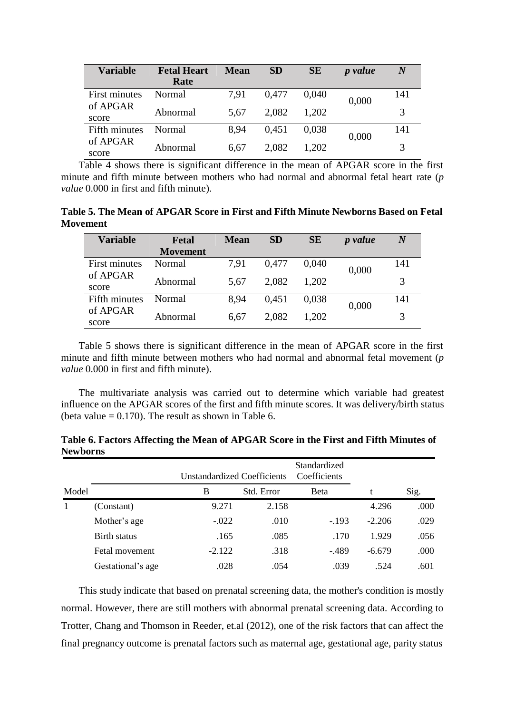| <b>Variable</b>   | <b>Fetal Heart</b><br>Rate | Mean | <b>SD</b> | <b>SE</b> | <i>p</i> value | $\bm{N}$ |
|-------------------|----------------------------|------|-----------|-----------|----------------|----------|
| First minutes     | Normal                     | 7.91 | 0,477     | 0,040     | 0,000          | 141      |
| of APGAR<br>score | Abnormal                   | 5.67 | 2,082     | 1,202     |                | 3        |
| Fifth minutes     | Normal                     | 8.94 | 0,451     | 0.038     | 0,000          | 141      |
| of APGAR<br>score | Abnormal                   | 6.67 | 2,082     | 1,202     |                | 3        |

Table 4 shows there is significant difference in the mean of APGAR score in the first minute and fifth minute between mothers who had normal and abnormal fetal heart rate (*p value* 0.000 in first and fifth minute).

**Table 5. The Mean of APGAR Score in First and Fifth Minute Newborns Based on Fetal Movement**

| Variable      | Fetal           | <b>Mean</b> | <b>SD</b> | <b>SE</b> | <i>p</i> value | $\boldsymbol{N}$ |
|---------------|-----------------|-------------|-----------|-----------|----------------|------------------|
|               | <b>Movement</b> |             |           |           |                |                  |
| First minutes | Normal          | 7.91        | 0,477     | 0.040     | 0,000          | 141              |
| of APGAR      | Abnormal        | 5.67        | 2,082     | 1,202     |                | 3                |
| score         |                 |             |           |           |                |                  |
| Fifth minutes | Normal          | 8.94        | 0.451     | 0.038     | 0,000          | 141              |
| of APGAR      | Abnormal        | 6.67        | 2,082     | 1,202     |                | 3                |
| score         |                 |             |           |           |                |                  |

Table 5 shows there is significant difference in the mean of APGAR score in the first minute and fifth minute between mothers who had normal and abnormal fetal movement (*p value* 0.000 in first and fifth minute).

The multivariate analysis was carried out to determine which variable had greatest influence on the APGAR scores of the first and fifth minute scores. It was delivery/birth status (beta value  $= 0.170$ ). The result as shown in Table 6.

|       |                   | <b>Unstandardized Coefficients</b> |            | Standardized<br>Coefficients |          |      |  |
|-------|-------------------|------------------------------------|------------|------------------------------|----------|------|--|
| Model |                   | B                                  | Std. Error | Beta                         |          | Sig. |  |
|       | (Constant)        | 9.271                              | 2.158      |                              | 4.296    | .000 |  |
|       | Mother's age      | $-.022$                            | .010       | $-.193$                      | $-2.206$ | .029 |  |
|       | Birth status      | .165                               | .085       | .170                         | 1.929    | .056 |  |
|       | Fetal movement    | $-2.122$                           | .318       | $-489$                       | $-6.679$ | .000 |  |
|       | Gestational's age | .028                               | .054       | .039                         | .524     | .601 |  |

**Table 6. Factors Affecting the Mean of APGAR Score in the First and Fifth Minutes of Newborns**

This study indicate that based on prenatal screening data, the mother's condition is mostly normal. However, there are still mothers with abnormal prenatal screening data. According to Trotter, Chang and Thomson in Reeder, et.al (2012), one of the risk factors that can affect the final pregnancy outcome is prenatal factors such as maternal age, gestational age, parity status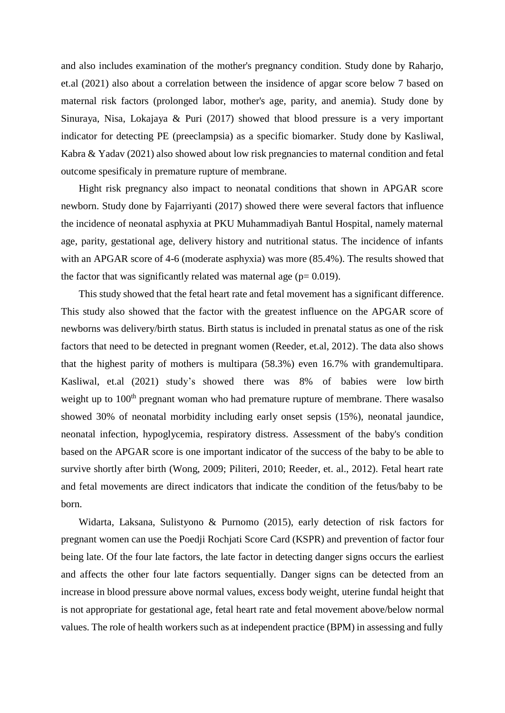and also includes examination of the mother's pregnancy condition. Study done by Raharjo, et.al (2021) also about a correlation between the insidence of apgar score below 7 based on maternal risk factors (prolonged labor, mother's age, parity, and anemia). Study done by Sinuraya, Nisa, Lokajaya & Puri (2017) showed that blood pressure is a very important indicator for detecting PE (preeclampsia) as a specific biomarker. Study done by Kasliwal, Kabra & Yadav (2021) also showed about low risk pregnancies to maternal condition and fetal outcome spesificaly in premature rupture of membrane.

Hight risk pregnancy also impact to neonatal conditions that shown in APGAR score newborn. Study done by Fajarriyanti (2017) showed there were several factors that influence the incidence of neonatal asphyxia at PKU Muhammadiyah Bantul Hospital, namely maternal age, parity, gestational age, delivery history and nutritional status. The incidence of infants with an APGAR score of 4-6 (moderate asphyxia) was more (85.4%). The results showed that the factor that was significantly related was maternal age ( $p= 0.019$ ).

This study showed that the fetal heart rate and fetal movement has a significant difference. This study also showed that the factor with the greatest influence on the APGAR score of newborns was delivery/birth status. Birth status is included in prenatal status as one of the risk factors that need to be detected in pregnant women (Reeder, et.al, 2012). The data also shows that the highest parity of mothers is multipara (58.3%) even 16.7% with grandemultipara. Kasliwal, et.al (2021) study's showed there was 8% of babies were low birth weight up to 100<sup>th</sup> pregnant woman who had premature rupture of membrane. There wasalso showed 30% of neonatal morbidity including early onset sepsis (15%), neonatal jaundice, neonatal infection, hypoglycemia, respiratory distress. Assessment of the baby's condition based on the APGAR score is one important indicator of the success of the baby to be able to survive shortly after birth (Wong, 2009; Piliteri, 2010; Reeder, et. al., 2012). Fetal heart rate and fetal movements are direct indicators that indicate the condition of the fetus/baby to be born.

Widarta, Laksana, Sulistyono & Purnomo (2015), early detection of risk factors for pregnant women can use the Poedji Rochjati Score Card (KSPR) and prevention of factor four being late. Of the four late factors, the late factor in detecting danger signs occurs the earliest and affects the other four late factors sequentially. Danger signs can be detected from an increase in blood pressure above normal values, excess body weight, uterine fundal height that is not appropriate for gestational age, fetal heart rate and fetal movement above/below normal values. The role of health workers such as at independent practice (BPM) in assessing and fully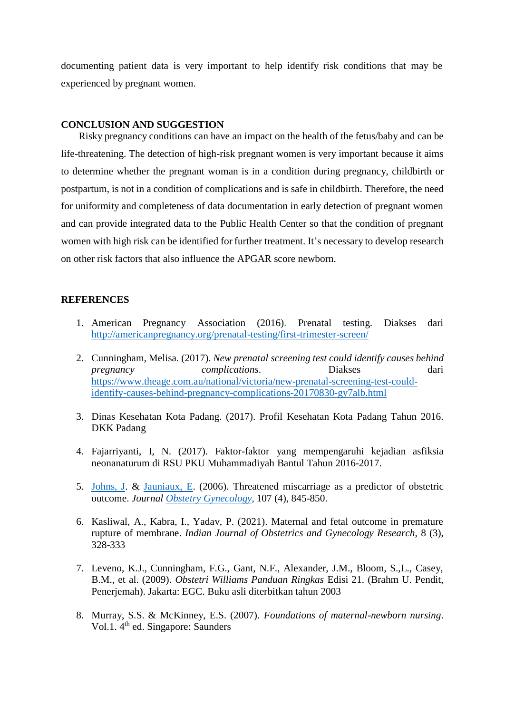documenting patient data is very important to help identify risk conditions that may be experienced by pregnant women.

#### **CONCLUSION AND SUGGESTION**

Risky pregnancy conditions can have an impact on the health of the fetus/baby and can be life-threatening. The detection of high-risk pregnant women is very important because it aims to determine whether the pregnant woman is in a condition during pregnancy, childbirth or postpartum, is not in a condition of complications and is safe in childbirth. Therefore, the need for uniformity and completeness of data documentation in early detection of pregnant women and can provide integrated data to the Public Health Center so that the condition of pregnant women with high risk can be identified for further treatment. It's necessary to develop research on other risk factors that also influence the APGAR score newborn.

#### **REFERENCES**

- 1. American Pregnancy Association (2016). Prenatal testing. Diakses dari <http://americanpregnancy.org/prenatal-testing/first-trimester-screen/>
- 2. Cunningham, Melisa. (2017). *New prenatal screening test could identify causes behind pregnancy complications*. Diakses dari [https://www.theage.com.au/national/victoria/new-prenatal-screening-test-could](https://www.theage.com.au/national/victoria/new-prenatal-screening-test-could-identify-causes-behind-pregnancy-complications-20170830-gy7alb.html)[identify-causes-behind-pregnancy-complications-20170830-gy7alb.html](https://www.theage.com.au/national/victoria/new-prenatal-screening-test-could-identify-causes-behind-pregnancy-complications-20170830-gy7alb.html)
- 3. Dinas Kesehatan Kota Padang. (2017). Profil Kesehatan Kota Padang Tahun 2016. DKK Padang
- 4. Fajarriyanti, I, N. (2017). Faktor-faktor yang mempengaruhi kejadian asfiksia neonanaturum di RSU PKU Muhammadiyah Bantul Tahun 2016-2017.
- 5. [Johns,](http://www.ncbi.nlm.nih.gov/pubmed?term=%22Johns%20J%22%5BAuthor%5D) J. & [Jauniaux,](http://www.ncbi.nlm.nih.gov/pubmed?term=%22Jauniaux%20E%22%5BAuthor%5D) E. (2006). Threatened miscarriage as a predictor of obstetric outcome. *Journal Obstetry [Gynecology](http://www.ncbi.nlm.nih.gov/pubmed/16582121)*, 107 (4), 845-850.
- 6. Kasliwal, A., Kabra, I., Yadav, P. (2021). Maternal and fetal outcome in premature rupture of membrane. *Indian Journal of Obstetrics and Gynecology Research,* 8 (3), 328-333
- 7. Leveno, K.J., Cunningham, F.G., Gant, N.F., Alexander, J.M., Bloom, S.,L., Casey, B.M., et al. (2009). *Obstetri Williams Panduan Ringkas* Edisi 21. (Brahm U. Pendit, Penerjemah). Jakarta: EGC. Buku asli diterbitkan tahun 2003
- 8. Murray, S.S. & McKinney, E.S. (2007). *Foundations of maternal-newborn nursing*. Vol.1. 4<sup>th</sup> ed. Singapore: Saunders